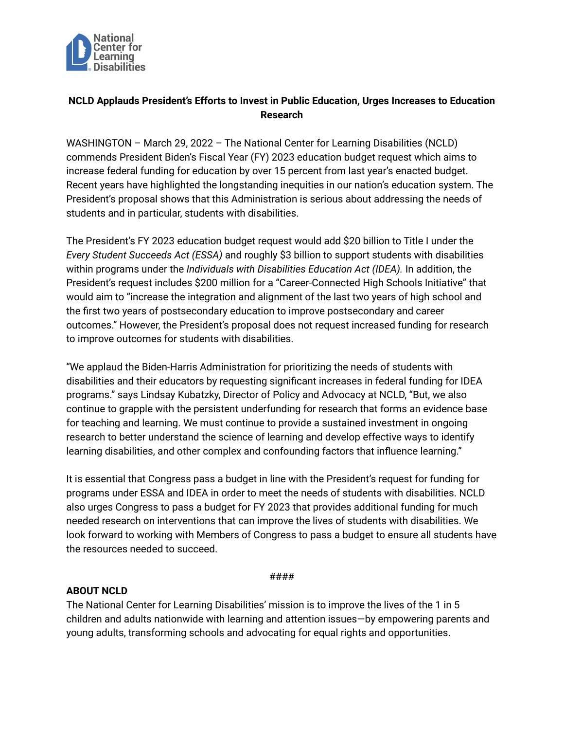

## **NCLD Applauds President's Efforts to Invest in Public Education, Urges Increases to Education Research**

WASHINGTON – March 29, 2022 – The National Center for Learning Disabilities (NCLD) commends President Biden's Fiscal Year (FY) 2023 education budget request which aims to increase federal funding for education by over 15 percent from last year's enacted budget. Recent years have highlighted the longstanding inequities in our nation's education system. The President's proposal shows that this Administration is serious about addressing the needs of students and in particular, students with disabilities.

The President's FY 2023 education budget request would add \$20 billion to Title I under the *Every Student Succeeds Act (ESSA)* and roughly \$3 billion to support students with disabilities within programs under the *Individuals with Disabilities Education Act (IDEA).* In addition, the President's request includes \$200 million for a "Career-Connected High Schools Initiative" that would aim to "increase the integration and alignment of the last two years of high school and the first two years of postsecondary education to improve postsecondary and career outcomes." However, the President's proposal does not request increased funding for research to improve outcomes for students with disabilities.

"We applaud the Biden-Harris Administration for prioritizing the needs of students with disabilities and their educators by requesting significant increases in federal funding for IDEA programs." says Lindsay Kubatzky, Director of Policy and Advocacy at NCLD, "But, we also continue to grapple with the persistent underfunding for research that forms an evidence base for teaching and learning. We must continue to provide a sustained investment in ongoing research to better understand the science of learning and develop effective ways to identify learning disabilities, and other complex and confounding factors that influence learning."

It is essential that Congress pass a budget in line with the President's request for funding for programs under ESSA and IDEA in order to meet the needs of students with disabilities. NCLD also urges Congress to pass a budget for FY 2023 that provides additional funding for much needed research on interventions that can improve the lives of students with disabilities. We look forward to working with Members of Congress to pass a budget to ensure all students have the resources needed to succeed.

####

## **ABOUT NCLD**

The National Center for Learning Disabilities' mission is to improve the lives of the 1 in 5 children and adults nationwide with learning and attention issues—by empowering parents and young adults, transforming schools and advocating for equal rights and opportunities.